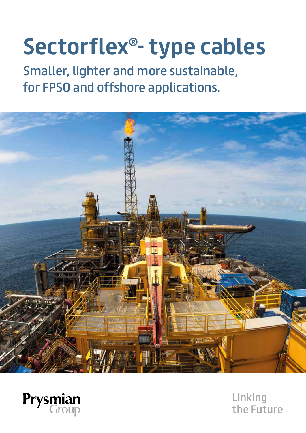# **Sectorflex®- type cables**

Smaller, lighter and more sustainable, for FPSO and offshore applications.





Linking the Future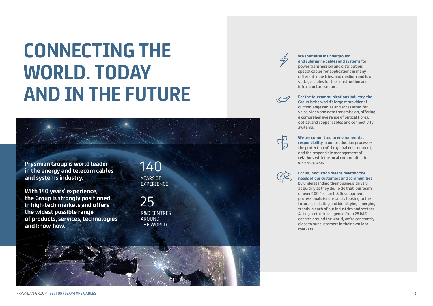**We specialise in underground and submarine cables and systems** for power transmission and distribution, special cables for applications in many different industries, and medium and low voltage cables for the construction and infrastructure sectors.



**For the telecommunications industry, the Group is the world's largest provider** of cutting-edge cables and accessories for voice, video and data transmission, offering a comprehensive range of optical fibres, optical and copper cables and connectivity systems.



# **We are committed to environmental**

**responsibility** in our production processes, the protection of the global environment, and the responsible management of relations with the local communities in

which we work.

### **For us, innovation means meeting the needs of our customers and communities**

by understanding their business drivers as quickly as they do. To do that, our team of over 900 Research & Development professionals is constantly looking to the future, predicting and identifying emerging trends in each of our industries and sectors. Acting on this intelligence from 25 R&D centres around the world, we're constantly close to our customers in their own local markets.



YEARS OF EXPERIENCE 140

R&D CENTRES AROUND THE WORLD 25



**Prysmian Group is world leader in the energy and telecom cables and systems industry.** 

**With 140 years' experience, the Group is strongly positioned in high-tech markets and offers the widest possible range of products, services, technologies and know-how.** 

# **CONNECTING THE WORLD. TODAY AND IN THE FUTURE**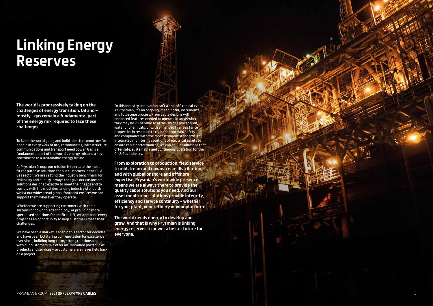# **Linking Energy Reserves**

**The world is progressively taking on the challenges of energy transition. Oil and – mostly – gas remain a fundamental part of the energy mix required to face these challenges.**

To keep the world going and build a better tomorrow for people in every walk of life, communities, infrastructure, communications and transport need power. Gas is a fundamental part of the world's energy mix and a key contributor to a sustainable energy future.

At Prysmian Group, our mission is to create the most fit-for-purpose solutions for our customers in the Oil & Gas sector. We are setting the industry benchmark for reliability and quality in ways that give our customers solutions designed exactly to meet their needs and to comply with the most demanding industry standards, whilst our widespread global footprint ensures we can support them wherever they operate.

Whether we are supporting customers with cable systems or downhole technology, or providing more specialised solutions for artificial lift, we approach every project as an opportunity to help customers meet their challenges.

We have been a market leader in this sector for decades and have been bolstering our reputation for excellence ever since, building long-term, strong relationships with our customers. We offer an unrivalled portfolio of products and services – so customers are never held back on a project.

In this industry, innovation isn't a one-off, radical event. At Prysmian, it's an ongoing, meaningful, incremental and full-scope process. From cable designs with enhanced features needed to operate in areas where they may be vulnerable to attack by gas leakage, oil, water or chemicals, or with enhanced fire resistance properties in response to calls for improved safety and compliance with the most stringent standards, to integrated monitoring solutions of electrical assets to ensure cable performances, we can deliver solutions that offer safe, sustainable and continuous operation for the Oil & Gas industry.

**From exploration to production, field service to midstream and downstream distribution, and with global onshore and offshore expertise, Prysmian's worldwide presence means we are always there to provide the quality cable solutions you need. And our asset monitoring solutions provide integrity, efficiency and service continuity – whether for your plant, your refinery or your platform.** 

**The world needs energy to develop and grow. And that is why Prysmian is linking energy reserves to power a better future for everyone.**

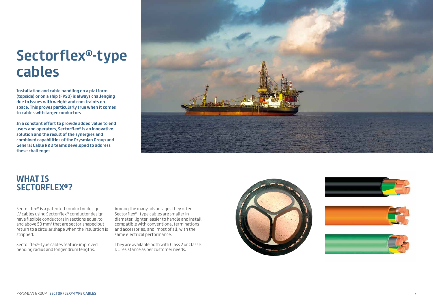

# **Sectorflex ®-type cables**

**Installation and cable handling on a platform (topside) or on a ship (FPSO) is always challenging due to issues with weight and constraints on space. This proves particularly true when it comes to cables with larger conductors.**

**In a constant effort to provide added value to end users and operators, Sectorflex ® is an innovative solution and the result of the synergies and combined capabilities of the Prysmian Group and General Cable R&D teams developed to address these challenges.**



Sectorflex ® is a patented conductor design. LV cables using Sectorflex ® conductor design have flexible conductors in sections equal to and above 50 mm 2 that are sector-shaped but return to a circular shape when the insulation is stripped.

Sectorflex ®-type cables feature improved bending radius and longer drum lengths.

Among the many advantages they offer, Sectorflex ®- type cables are smaller in diameter, lighter, easier to handle and install, compatible with conventional terminations and accessories, and, most of all, with the same electrical performance.

They are available both with Class 2 or Class 5 DC resistance as per customer needs.



# **WHAT IS SECTORFLEX® ?**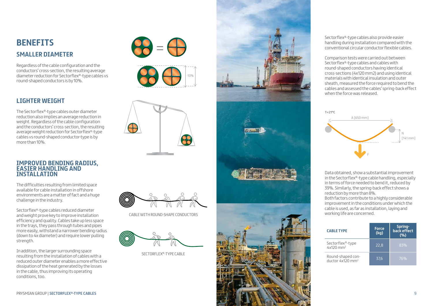# **BENEFITS SMALLER DIAMETER**

Regardless of the cable configuration and the conductors' cross-section, the resulting average diameter reduction for Sectorflex ®-type cables vs round-shaped conductors is by 10%.

## **LIGHTER WEIGHT**

The Sectorflex ®-type cables outer diameter reduction also implies an average reduction in weight. Regardless of the cable configuration and the conductors' cross-section, the resulting average weight reduction for Sectorflex ®-type cables vs round-shaped conductor-type is by more than 10%.

### **IMPROVED BENDING RADIUS, EASIER HANDLING AND INSTALLATION**

The difficulties resulting from limited space available for cable installation in offshore environments are a matter of fact and a huge challenge in the industry.

Sectorflex ®-type cables reduced diameter and weight prove key to improve installation efficiency and quality. Cables take up less space in the trays, they pass through tubes and pipes more easily, withstand a narrower bending radius (down to 4x diameter) and require lower pulling strength.

In addition, the larger surrounding space resulting from the installation of cables with a reduced outer diameter enables a more effective dissipation of the heat generated by the losses in the cable, thus improving its operating conditions, too.



Sectorflex ®-type cables also provide easier handling during installation compared with the conventional circular conductor flexible cables.

Comparison tests were carried out between Sectorflex ®-type cables and cables with round-shaped conductors having identical cross-sections (4x120 mm2) and using identical materials with identical insulation and outer sheath, measured the force required to bend the cables and assessed the cables' spring-back effect when the force was released.

Data obtained, show a substantial improvement in the Sectorflex ®-type cable handling, especially in terms of force needed to bend it, reduced by 39%. Similarly, the spring-back effect shows a reduction by more than 8%.

Both factors contribute to a highly considerable improvement in the conditions under which the cable is used, as far as installation, laying and





SECTORFLEX ®-TYPE CABLE

| <b>CABLE TYPE</b>                                        | <b>Force</b><br>(kg) | Spring-<br>back effect<br>(%) |
|----------------------------------------------------------|----------------------|-------------------------------|
| Sectorflex <sup>®</sup> -type<br>$4x120$ mm <sup>2</sup> | 22,8                 | 83%                           |
| Round-shaped con-<br>ductor 4x120 mm <sup>2</sup>        | 37,6                 | 76%                           |







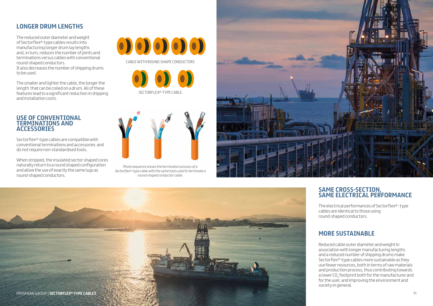

## **LONGER DRUM LENGTHS**

The reduced outer diameter and weight of Sectorflex®-type cables results into manufacturing longer drum lay lengths and, in turn, reduces the number of joints and terminations versus cables with conventional round-shaped conductors.

It also decreases the number of shipping drums to be used.

The smaller and lighter the cable, the longer the length that can be coiled on a drum. All of these features lead to a significant reduction in shipping and installation costs.

## **USE OF CONVENTIONAL TERMINATIONS AND ACCESSORIES**

Sectorflex®-type cables are compatible with conventional terminations and accessories and do not require non-standardised tools.

When stripped, the insulated sector-shaped cores naturally return to a round shaped configuration and allow the use of exactly the same lugs as round-shaped conductors.



CABLE WITH ROUND-SHAPE CONDUCTORS

SECTORFLEX®-TYPE CABLE



*Photo sequence shows the termination process of a Sectorflex®-type cable with the same tools used to terminate a round-shaped conductor cable.*



## **SAME CROSS-SECTION, SAME ELECTRICAL PERFORMANCE**

The electrical performances of Sectorflex®- type cables are identical to those using round-shaped conductors.

## **MORE SUSTAINABLE**

Reduced cable outer diameter and weight in association with longer manufacturing lengths and a reduced number of shipping drums make Sectorflex®-type cables more sustainable as they use fewer resources, both in terms of raw materials and production process, thus contributing towards a lower CO $_{\textrm{\tiny{2}}}$ footprint both for the manufacturer and for the user, and improving the environment and society in general.